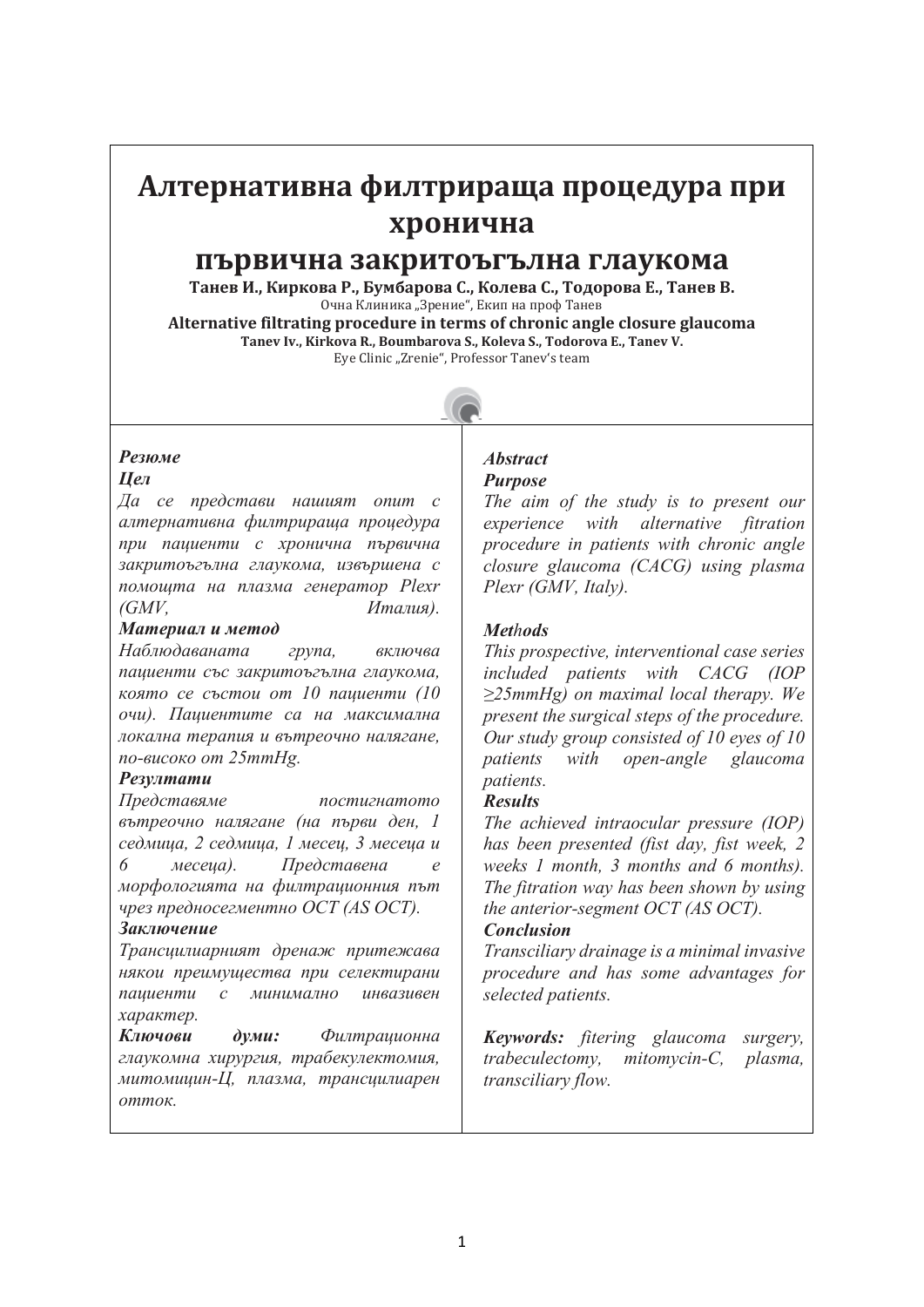# **Алтернативна филтрираща процедура при хронична**

# **първична закритоъгълна глаукома**

**Танев И., Киркова Р., Бумбарова С., Колева С., Тодорова Е., Танев В.** Очна Клиника "Зрение", Екип на проф Танев

**Alternative filtrating procedure in terms of chronic angle closure glaucoma Tanev Iv., Kirkova R., Boumbarova S., Koleva S., Todorova E., Tanev V.** Eye Clinic "Zrenie", Professor Tanev's team



# *Резюме*

#### *Цел*

*Да се представи нашият опит с алтернативна филтрираща процедура при пациенти с хронична първична закритоъгълна глаукома, извършена с помощта на плазма генератор Plexr (GMV, Италия).*

#### *Материал и метод*

*Наблюдаваната група, включва пациенти със закритоъгълна глаукома, която се състои от 10 пациенти (10 очи). Пациентите са на максимална локална терапия и вътреочно налягане, по-високо от 25mmHg.*

## *Резултати*

*Представяме постигнатото вътреочно налягане (на първи ден, 1 седмица, 2 седмицa, 1 месец, 3 месеца и 6 месеца). Представена е морфологията на филтрационния път чрез предносегментно ОСТ (AS OCT).*

#### *Заключение*

*Трансцилиарният дренаж притежава някои преимущества при селектирани пациенти с минимално инвазивен характер.*

*Ключови думи: Филтрационна глаукомна хирургия, трабекулектомия, митомицин-Ц, плазма, трансцилиарен отток.*

#### *Abstract Purpose*

*The aim of the study is to present our experience with alternative fitration procedure in patients with chronic angle closure glaucoma (CACG) using plasma Plexr (GMV, Italy).*

# *Methods*

*This prospective, interventional case series included patients with CACG (IOP ≥25mmHg) on maximal local therapy. We present the surgical steps of the procedure. Our study group consisted of 10 eyes of 10 patients with open-angle glaucoma patients.*

## *Results*

*The achieved intraocular pressure (IOP) has been presented (fist day, fist week, 2 weeks 1 month, 3 months and 6 months). The fitration way has been shown by using the аnterior-segment OCT (AS OCT).*

# *Conclusion*

*Transciliary drainage is a minimal invasive procedure and has some advantages for selected patients.*

*Keywords: fitering glaucoma surgery, trabeculectomy, mitomycin-C, plasma, transciliary flow.*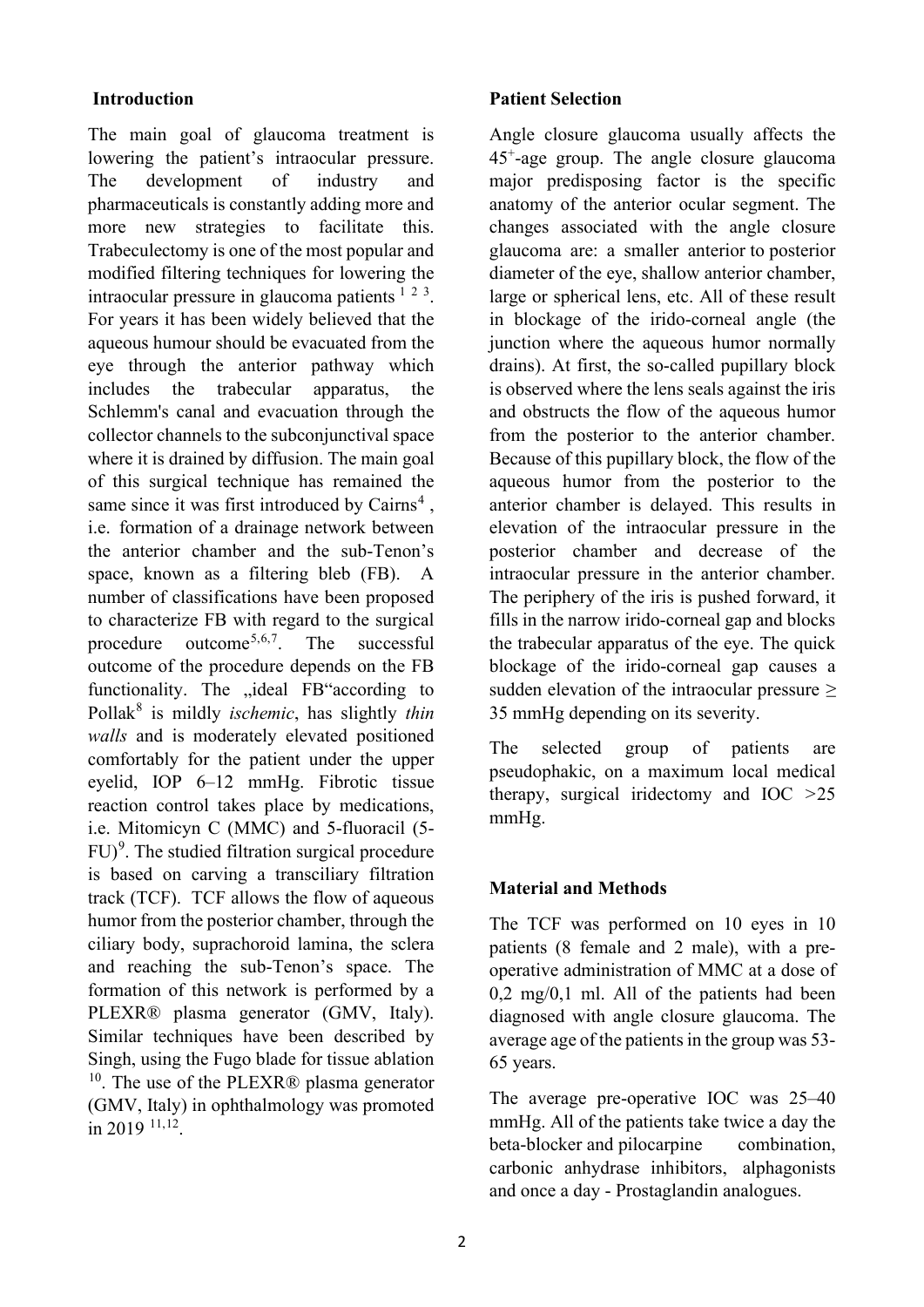## **Introduction**

The main goal of glaucoma treatment is lowering the patient's intraocular pressure. The development of industry and pharmaceuticals is constantly adding more and more new strategies to facilitate this. Trabeculectomy is one of the most popular and modified filtering techniques for lowering the intraocular pressure in glaucoma patients  $123$  $123$  $123$ . For years it has been widely believed that the aqueous humour should be evacuated from the eye through the anterior pathway which includes the trabecular apparatus, the Schlemm's canal and evacuation through the collector channels to the subconjunctival space where it is drained by diffusion. The main goal of this surgical technique has remained the same since it was first introduced by  $Cairns<sup>4</sup>$  $Cairns<sup>4</sup>$  $Cairns<sup>4</sup>$ . i.e. formation of a drainage network between the anterior chamber and the sub-Tenon's space, known as a filtering bleb (FB). A number of classifications have been proposed to characterize FB with regard to the surgical procedure outcome<sup>[5,](#page-6-4)[6](#page-6-5),[7](#page-6-6)</sup>. The successful outcome of the procedure depends on the FB functionality. The "ideal FB"according to Pollak[8](#page-6-7) is mildly *ischemic*, has slightly *thin walls* and is moderately elevated positioned comfortably for the patient under the upper eyelid, IOP 6–12 mmHg. Fibrotic tissue reaction control takes place by medications, i.e. Mitomicyn C (MMC) and 5-fluoracil (5- FU)<sup>[9](#page-6-8)</sup>. The studied filtration surgical procedure is based on carving a transciliary filtration track (TCF). TCF allows the flow of aqueous humor from the posterior chamber, through the ciliary body, suprachoroid lamina, the sclera and reaching the sub-Tenon's space. The formation of this network is performed by a PLEXR® plasma generator (GMV, Italy). Similar techniques have been described by Singh, using the Fugo blade for tissue ablation  $10$ . The use of the PLEXR® plasma generator (GMV, Italy) in ophthalmology was promoted in 2019 [11,](#page-6-10)[12](#page-6-11).

#### **Patient Selection**

Angle closure glaucoma usually affects the 45+-age group. The angle closure glaucoma major predisposing factor is the specific anatomy of the anterior ocular segment. The changes associated with the angle closure glaucoma are: a smaller anterior to posterior diameter of the eye, shallow anterior chamber, large or spherical lens, etc. All of these result in blockage of the irido-corneal angle (the junction where the aqueous humor normally drains). At first, the so-called pupillary block is observed where the lens seals against the iris and obstructs the flow of the aqueous humor from the posterior to the anterior chamber. Because of this pupillary block, the flow of the aqueous humor from the posterior to the anterior chamber is delayed. This results in elevation of the intraocular pressure in the posterior chamber and decrease of the intraocular pressure in the anterior chamber. The periphery of the iris is pushed forward, it fills in the narrow irido-corneal gap and blocks the trabecular apparatus of the eye. The quick blockage of the irido-corneal gap causes a sudden elevation of the intraocular pressure *≥* 35 mmHg depending on its severity.

The selected group of patients are pseudophakic, on a maximum local medical therapy, surgical iridectomy and IOC *>*25 mmHg.

#### **Material and Methods**

The TCF was performed on 10 eyes in 10 patients (8 female and 2 male), with a preoperative administration of MMC at a dose of 0,2 mg/0,1 ml. All of the patients had been diagnosed with angle closure glaucoma. The average age of the patients in the group was 53- 65 years.

The average pre-operative IOC was 25–40 mmHg. All of the patients take twice a day the beta-blocker and pilocarpine combination, carbonic anhydrase inhibitors, alphagonists and once a day - Prostaglandin analogues.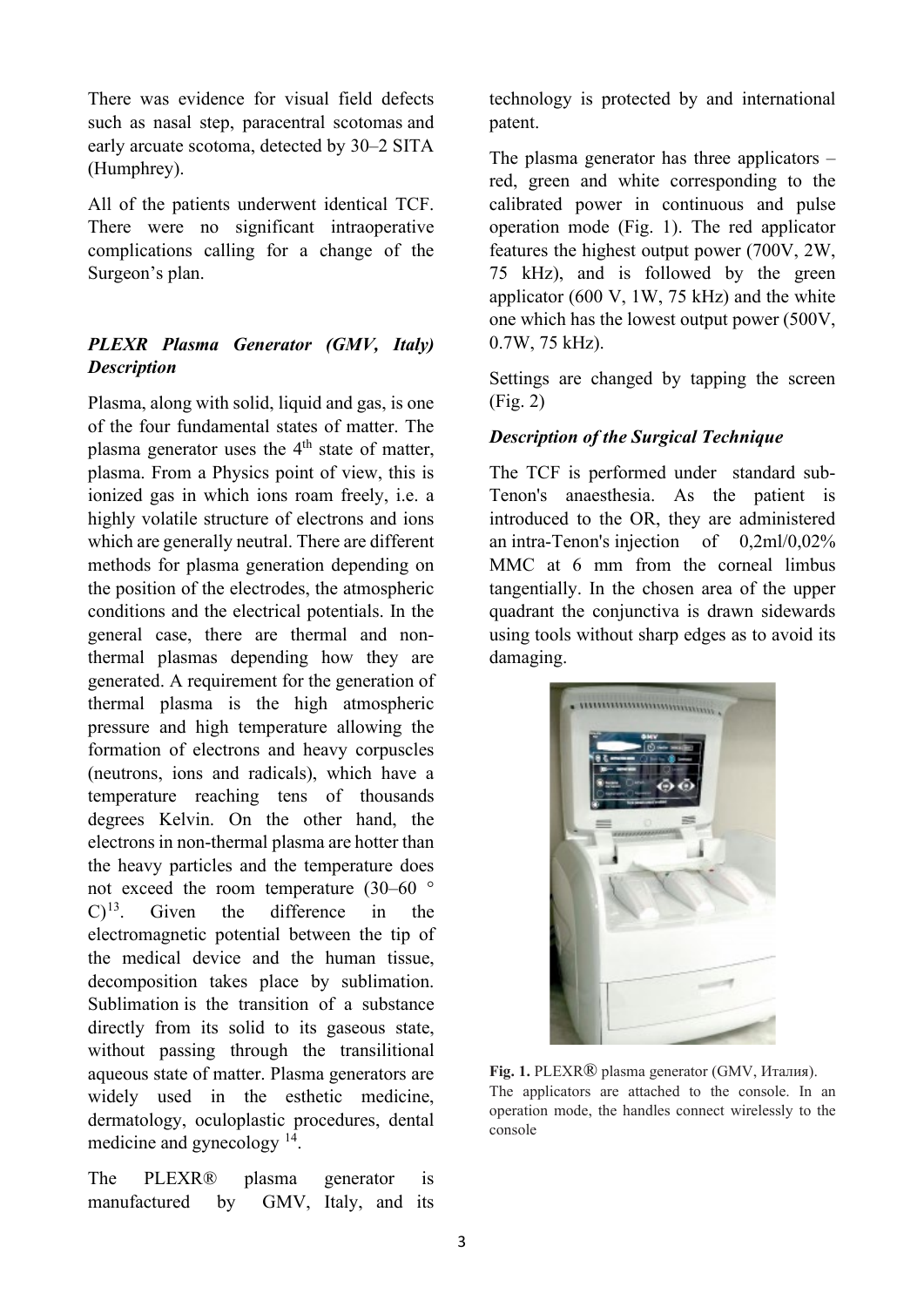There was evidence for visual field defects such as nasal step, paracentral scotomas and early arcuate scotoma, detected by 30–2 SITA (Humphrey).

All of the patients underwent identical TCF. There were no significant intraoperative complications calling for a change of the Surgeon's plan.

# *PLEXR Plasma Generator (GMV, Italy) Description*

Plasma, along with solid, liquid and gas, is one of the four fundamental states of matter. The plasma generator uses the  $4<sup>th</sup>$  state of matter. plasma. From a Physics point of view, this is ionized gas in which ions roam freely, i.e. a highly volatile structure of electrons and ions which are generally neutral. There are different methods for plasma generation depending on the position of the electrodes, the atmospheric conditions and the electrical potentials. In the general case, there are thermal and nonthermal plasmas depending how they are generated. A requirement for the generation of thermal plasma is the high atmospheric pressure and high temperature allowing the formation of electrons and heavy corpuscles (neutrons, ions and radicals), which have a temperature reaching tens of thousands degrees Kelvin. On the other hand, the electrons in non-thermal plasma are hotter than the heavy particles and the temperature does not exceed the room temperature (30–60 °  $(C)^{13}$  $(C)^{13}$  $(C)^{13}$ . Given the difference in the electromagnetic potential between the tip of the medical device and the human tissue, decomposition takes place by sublimation. Sublimation is the transition of a substance directly from its solid to its gaseous state, without passing through the transilitional aqueous state of matter. Plasma generators are widely used in the esthetic medicine, dermatology, oculoplastic procedures, dental medicine and gynecology [14.](#page-6-13)

The PLEXR® plasma generator is manufactured by GMV, Italy, and its

technology is protected by and international patent.

The plasma generator has three applicators – red, green and white corresponding to the calibrated power in continuous and pulse operation mode (Fig. 1). The red applicator features the highest output power (700V, 2W, 75 kHz), and is followed by the green applicator (600 V, 1W, 75 kHz) and the white one which has the lowest output power (500V, 0.7W, 75 kHz).

Settings are changed by tapping the screen (Fig. 2)

## *Description of the Surgical Technique*

The TCF is performed under standard sub-Tenon's anaesthesia. As the patient is introduced to the OR, they are administered an intra-Tenon's injection of 0,2ml/0,02% MMC at 6 mm from the corneal limbus tangentially. In the chosen area of the upper quadrant the conjunctiva is drawn sidewards using tools without sharp edges as to avoid its damaging.



**Fig. 1.** PLEXR® plasma generator (GMV, Италия). The applicators are attached to the console. In an operation mode, the handles connect wirelessly to the console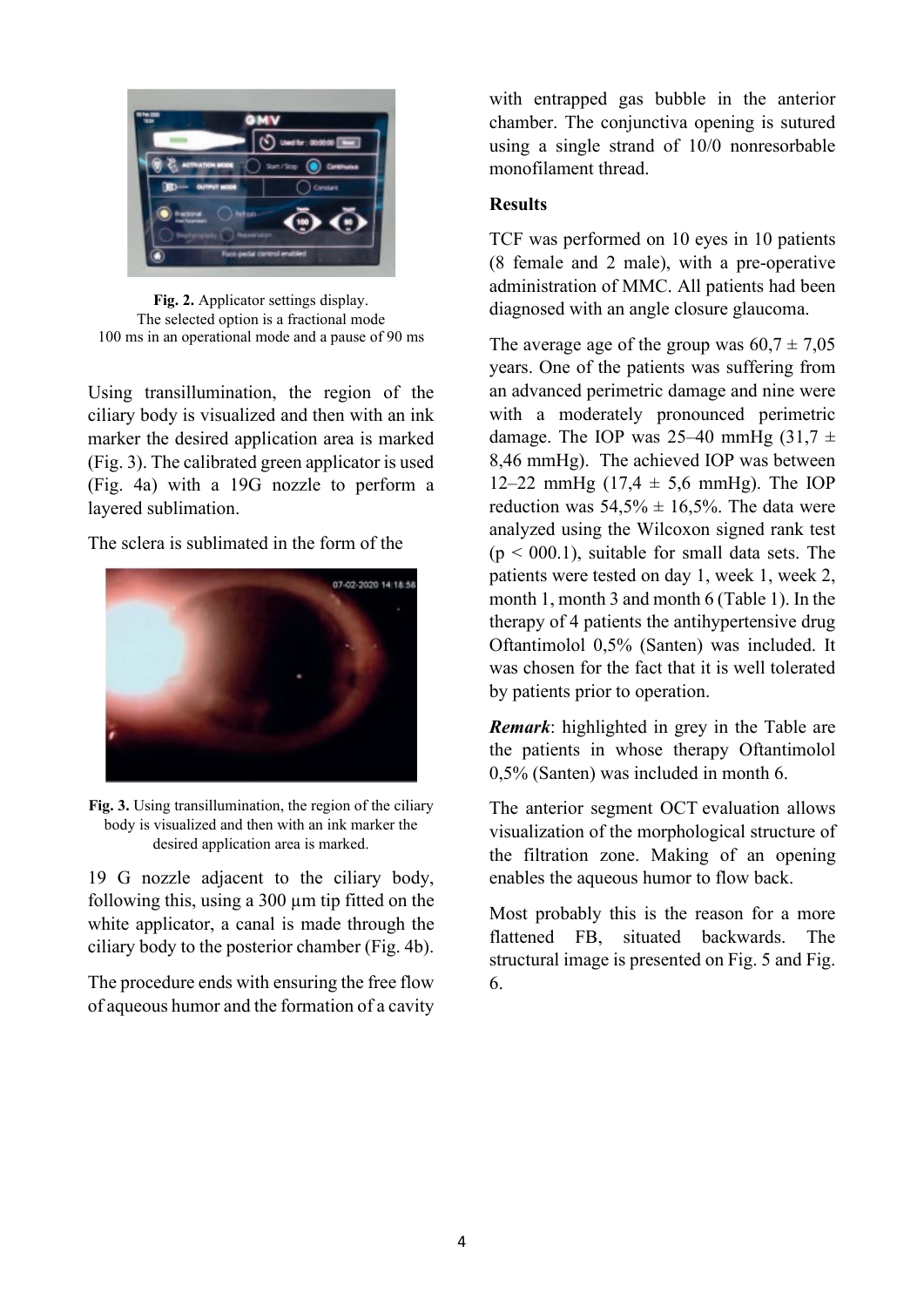

**Fig. 2.** Applicator settings display. The selected option is a fractional mode 100 ms in an operational mode and a pause of 90 ms

Using transillumination, the region of the ciliary body is visualized and then with an ink marker the desired application area is marked (Fig. 3). The calibrated green applicator is used (Fig. 4a) with a 19G nozzle to perform a layered sublimation.

The sclera is sublimated in the form of the



**Fig. 3.** Using transillumination, the region of the ciliary body is visualized and then with an ink marker the desired application area is marked.

19 G nozzle adjacent to the ciliary body, following this, using a 300 µm tip fitted on the white applicator, a canal is made through the ciliary body to the posterior chamber (Fig. 4b).

The procedure ends with ensuring the free flow of aqueous humor and the formation of a cavity with entrapped gas bubble in the anterior chamber. The conjunctiva opening is sutured using a single strand of 10/0 nonresorbable monofilament thread.

# **Results**

TCF was performed on 10 eyes in 10 patients (8 female and 2 male), with a pre-operative administration of MMC. All patients had been diagnosed with an angle closure glaucoma.

The average age of the group was  $60.7 \pm 7.05$ years. One of the patients was suffering from an advanced perimetric damage and nine were with a moderately pronounced perimetric damage. The IOP was 25–40 mmHg  $(31.7 \pm 1)$ 8,46 mmHg). The achieved IOP was between 12–22 mmHg (17,4  $\pm$  5,6 mmHg). The IOP reduction was  $54,5\% \pm 16,5\%$ . The data were analyzed using the Wilcoxon signed rank test  $(p < 000.1)$ , suitable for small data sets. The patients were tested on day 1, week 1, week 2, month 1, month 3 and month 6 (Table 1). In the therapy of 4 patients the antihypertensive drug Oftantimolol 0,5% (Santen) was included. It was chosen for the fact that it is well tolerated by patients prior to operation.

*Remark*: highlighted in grey in the Table are the patients in whose therapy Oftantimolol 0,5% (Santen) was included in month 6.

The anterior segment OCT evaluation allows visualization of the morphological structure of the filtration zone. Making of an opening enables the aqueous humor to flow back.

Most probably this is the reason for a more flattened FB, situated backwards. The structural image is presented on Fig. 5 and Fig. 6.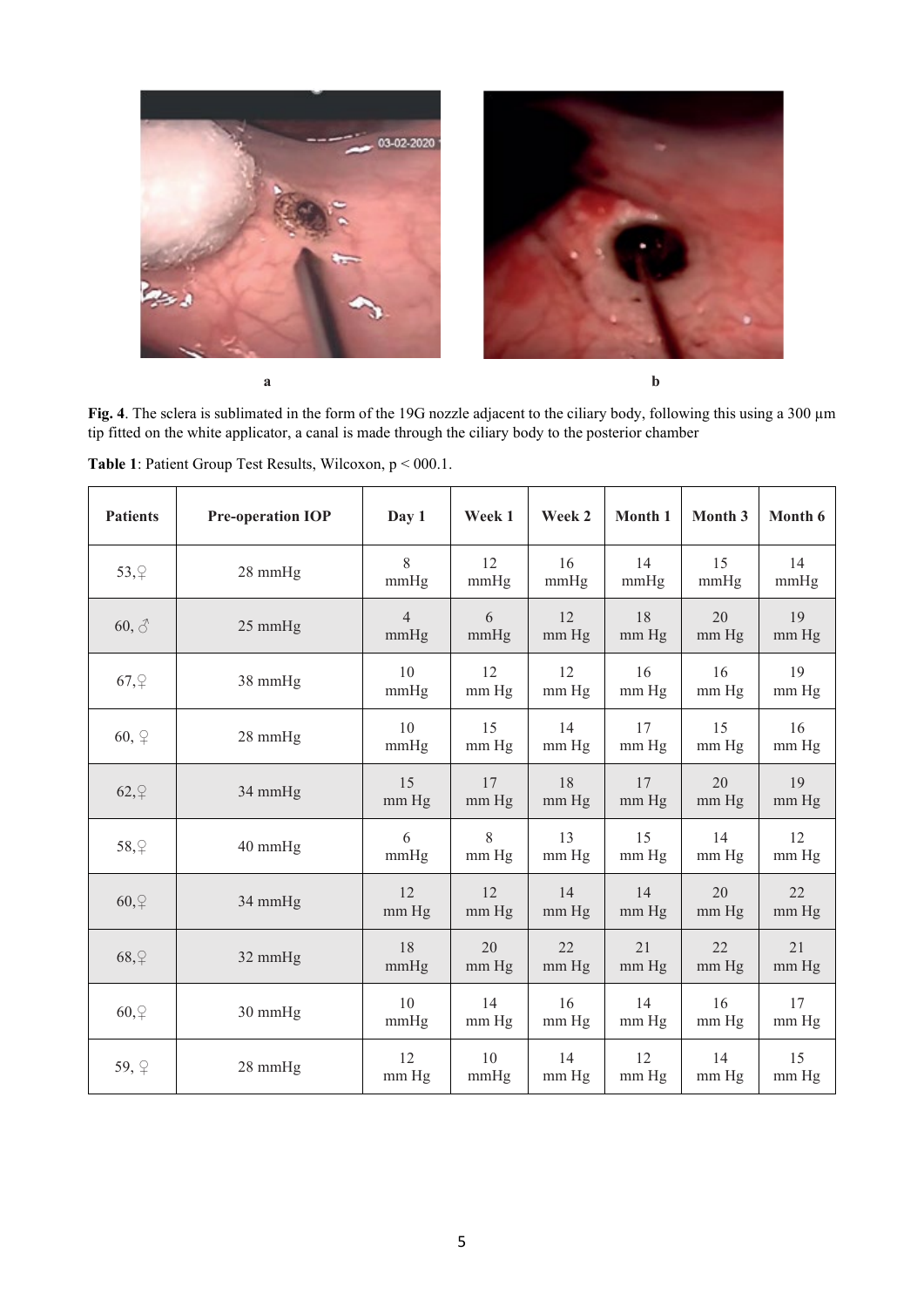

**Fig. 4**. The sclera is sublimated in the form of the 19G nozzle adjacent to the ciliary body, following this using a 300 µm tip fitted on the white applicator, a canal is made through the ciliary body to the posterior chamber

| <b>Patients</b> | <b>Pre-operation IOP</b> | Day 1                  | Week 1      | Week 2      | Month 1       | Month 3       | Month 6       |
|-----------------|--------------------------|------------------------|-------------|-------------|---------------|---------------|---------------|
| 53, 2           | 28 mmHg                  | 8<br>mmHg              | 12<br>mmHg  | 16<br>mmHg  | 14<br>mmHg    | 15<br>mmHg    | 14<br>mmHg    |
| $60, \delta$    | 25 mmHg                  | $\overline{4}$<br>mmHg | 6<br>mmHg   | 12<br>mm Hg | 18<br>mm Hg   | 20<br>mm Hg   | 19<br>mm Hg   |
| $67, \varphi$   | 38 mmHg                  | 10<br>mmHg             | 12<br>mm Hg | 12<br>mm Hg | 16<br>mm Hg   | 16<br>mm Hg   | 19<br>mm Hg   |
| $60, \varphi$   | 28 mmHg                  | 10<br>mmHg             | 15<br>mm Hg | 14<br>mm Hg | 17<br>mm Hg   | 15<br>mm Hg   | 16<br>mm Hg   |
| $62, \nbrace$   | 34 mmHg                  | 15<br>mm Hg            | 17<br>mm Hg | 18<br>mm Hg | 17<br>mm Hg   | 20<br>$mm$ Hg | 19<br>mm Hg   |
| 58, 2           | 40 mmHg                  | 6<br>mmHg              | 8<br>mm Hg  | 13<br>mm Hg | 15<br>mm Hg   | 14<br>mm Hg   | 12<br>mm Hg   |
| $60, \nbrace$   | 34 mmHg                  | 12<br>mm Hg            | 12<br>mm Hg | 14<br>mm Hg | 14<br>$mm$ Hg | 20<br>mm Hg   | 22<br>mm Hg   |
| 68, 9           | 32 mmHg                  | 18<br>mmHg             | 20<br>mm Hg | 22<br>mm Hg | 21<br>mm Hg   | 22<br>mm Hg   | 21<br>mm Hg   |
| $60, \nbrace$   | 30 mmHg                  | 10<br>mmHg             | 14<br>mm Hg | 16<br>mm Hg | 14<br>mm Hg   | 16<br>mm Hg   | 17<br>$mm$ Hg |
| 59, P           | 28 mmHg                  | 12<br>mm Hg            | 10<br>mmHg  | 14<br>mm Hg | 12<br>mm Hg   | 14<br>mm Hg   | 15<br>mm Hg   |

**Table 1**: Patient Group Test Results, Wilcoxon, р < 000.1.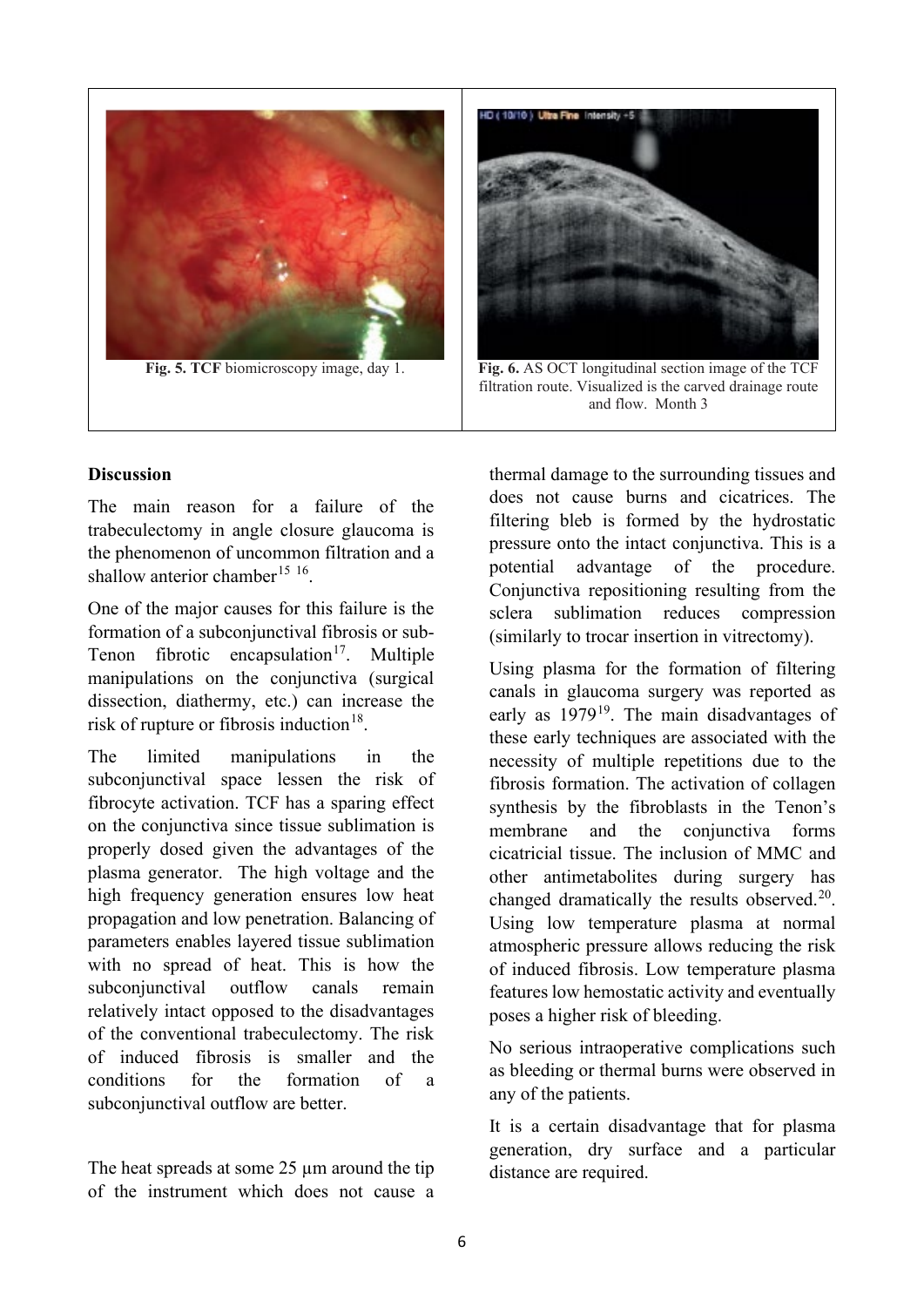



filtration route. Visualized is the carved drainage route and flow. Month 3

#### **Discussion**

The main reason for a failure of the trabeculectomy in angle closure glaucoma is the phenomenon of uncommon filtration and a shallow anterior chamber<sup>[15](#page-6-14) 16</sup>.

One of the major causes for this failure is the formation of a subconjunctival fibrosis or sub-Tenon fibrotic encapsulation<sup>17</sup>. Multiple manipulations on the conjunctiva (surgical dissection, diathermy, etc.) can increase the risk of rupture or fibrosis induction<sup>[18](#page-6-17)</sup>.

The limited manipulations in the subconjunctival space lessen the risk of fibrocyte activation. TCF has a sparing effect on the conjunctiva since tissue sublimation is properly dosed given the advantages of the plasma generator. The high voltage and the high frequency generation ensures low heat propagation and low penetration. Balancing of parameters enables layered tissue sublimation with no spread of heat. This is how the subconjunctival outflow canals remain relatively intact opposed to the disadvantages of the conventional trabeculectomy. The risk of induced fibrosis is smaller and the conditions for the formation of a subconjunctival outflow are better.

The heat spreads at some 25 µm around the tip of the instrument which does not cause a

thermal damage to the surrounding tissues and does not cause burns and cicatrices. The filtering bleb is formed by the hydrostatic pressure onto the intact conjunctiva. This is a potential advantage of the procedure. Conjunctiva repositioning resulting from the sclera sublimation reduces compression (similarly to trocar insertion in vitrectomy).

Using plasma for the formation of filtering canals in glaucoma surgery was reported as early as  $1979^{19}$  $1979^{19}$ . The main disadvantages of these early techniques are associated with the necessity of multiple repetitions due to the fibrosis formation. The activation of collagen synthesis by the fibroblasts in the Tenon's membrane and the conjunctiva forms cicatricial tissue. The inclusion of MMC and other antimetabolites during surgery has changed dramatically the results observed.<sup>20</sup>. Using low temperature plasma at normal atmospheric pressure allows reducing the risk of induced fibrosis. Low temperature plasma features low hemostatic activity and eventually poses a higher risk of bleeding.

No serious intraoperative complications such as bleeding or thermal burns were observed in any of the patients.

It is a certain disadvantage that for plasma generation, dry surface and a particular distance are required.